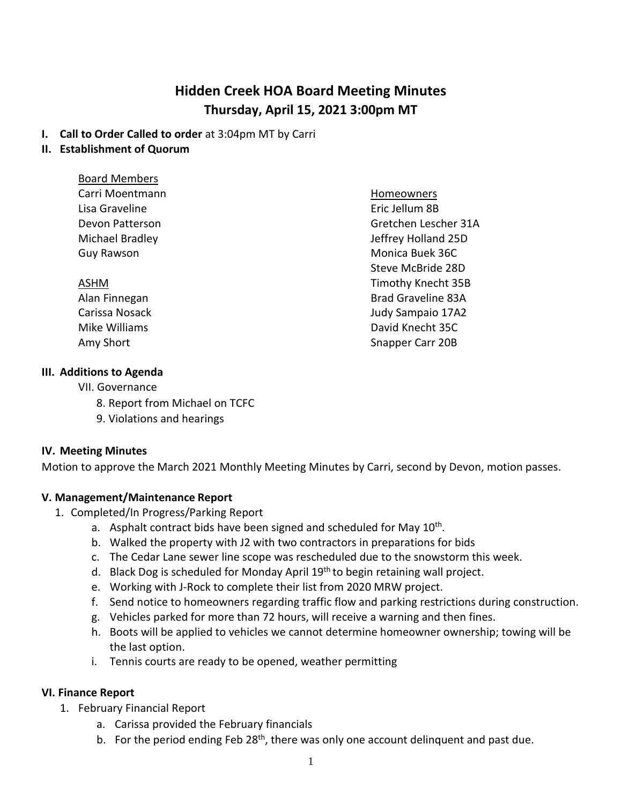# **Hidden Creek HOA Board Meeting Minutes Thursday, April 15, 2021 3:00pm MT**

#### **I. Call to Order Called to order** at 3:04pm MT by Carri

#### **II. Establishment of Quorum**

| <b>Board Members</b> |                           |
|----------------------|---------------------------|
| Carri Moentmann      | <b>Homeowners</b>         |
| Lisa Graveline       | Eric Jellum 8B            |
| Devon Patterson      | Gretchen Lescher 31A      |
| Michael Bradley      | Jeffrey Holland 25D       |
| Guy Rawson           | Monica Buek 36C           |
|                      | Steve McBride 28D         |
| ASHM                 | Timothy Knecht 35B        |
| Alan Finnegan        | <b>Brad Graveline 83A</b> |
| Carissa Nosack       | Judy Sampaio 17A2         |
| Mike Williams        | David Knecht 35C          |
| Amy Short            | Snapper Carr 20B          |

#### **III. Additions to Agenda**

- VII. Governance
	- 8. Report from Michael on TCFC
	- 9. Violations and hearings

#### **IV. Meeting Minutes**

Motion to approve the March 2021 Monthly Meeting Minutes by Carri, second by Devon, motion passes.

#### **V. Management/Maintenance Report**

- 1. Completed/In Progress/Parking Report
	- a. Asphalt contract bids have been signed and scheduled for May 10<sup>th</sup>.
	- b. Walked the property with J2 with two contractors in preparations for bids
	- c. The Cedar Lane sewer line scope was rescheduled due to the snowstorm this week.
	- d. Black Dog is scheduled for Monday April 19<sup>th</sup> to begin retaining wall project.
	- e. Working with J-Rock to complete their list from 2020 MRW project.
	- f. Send notice to homeowners regarding traffic flow and parking restrictions during construction.
	- g. Vehicles parked for more than 72 hours, will receive a warning and then fines.
	- h. Boots will be applied to vehicles we cannot determine homeowner ownership; towing will be the last option.
	- i. Tennis courts are ready to be opened, weather permitting

#### **VI. Finance Report**

- 1. February Financial Report
	- a. Carissa provided the February financials
	- b. For the period ending Feb 28<sup>th</sup>, there was only one account delinquent and past due.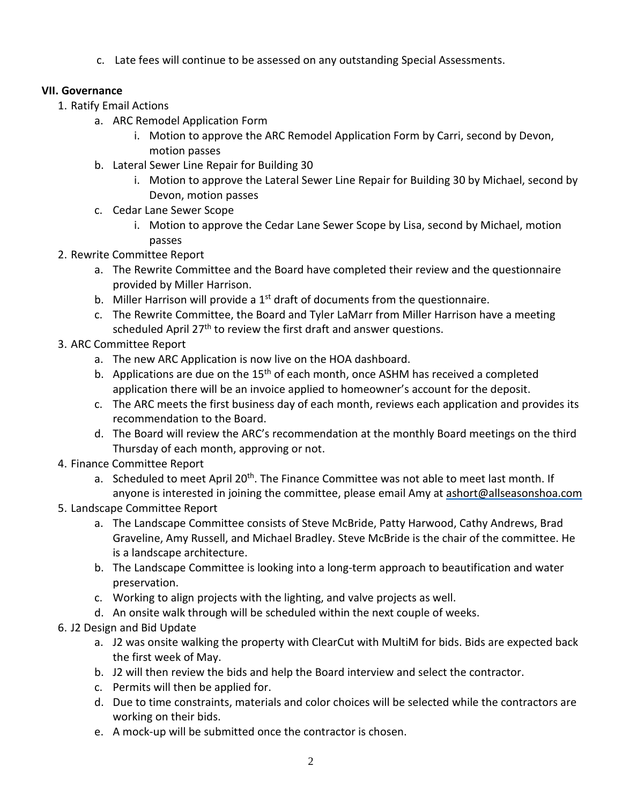c. Late fees will continue to be assessed on any outstanding Special Assessments.

### **VII. Governance**

- 1. Ratify Email Actions
	- a. ARC Remodel Application Form
		- i. Motion to approve the ARC Remodel Application Form by Carri, second by Devon, motion passes
	- b. Lateral Sewer Line Repair for Building 30
		- i. Motion to approve the Lateral Sewer Line Repair for Building 30 by Michael, second by Devon, motion passes
	- c. Cedar Lane Sewer Scope
		- i. Motion to approve the Cedar Lane Sewer Scope by Lisa, second by Michael, motion passes
- 2. Rewrite Committee Report
	- a. The Rewrite Committee and the Board have completed their review and the questionnaire provided by Miller Harrison.
	- b. Miller Harrison will provide a  $1<sup>st</sup>$  draft of documents from the questionnaire.
	- c. The Rewrite Committee, the Board and Tyler LaMarr from Miller Harrison have a meeting scheduled April  $27<sup>th</sup>$  to review the first draft and answer questions.
- 3. ARC Committee Report
	- a. The new ARC Application is now live on the HOA dashboard.
	- b. Applications are due on the  $15<sup>th</sup>$  of each month, once ASHM has received a completed application there will be an invoice applied to homeowner's account for the deposit.
	- c. The ARC meets the first business day of each month, reviews each application and provides its recommendation to the Board.
	- d. The Board will review the ARC's recommendation at the monthly Board meetings on the third Thursday of each month, approving or not.
- 4. Finance Committee Report
	- a. Scheduled to meet April 20<sup>th</sup>. The Finance Committee was not able to meet last month. If anyone is interested in joining the committee, please email Amy at [ashort@allseasonshoa.com](mailto:ashort@allseasonshoa.com)
- 5. Landscape Committee Report
	- a. The Landscape Committee consists of Steve McBride, Patty Harwood, Cathy Andrews, Brad Graveline, Amy Russell, and Michael Bradley. Steve McBride is the chair of the committee. He is a landscape architecture.
	- b. The Landscape Committee is looking into a long-term approach to beautification and water preservation.
	- c. Working to align projects with the lighting, and valve projects as well.
	- d. An onsite walk through will be scheduled within the next couple of weeks.

## 6. J2 Design and Bid Update

- a. J2 was onsite walking the property with ClearCut with MultiM for bids. Bids are expected back the first week of May.
- b. J2 will then review the bids and help the Board interview and select the contractor.
- c. Permits will then be applied for.
- d. Due to time constraints, materials and color choices will be selected while the contractors are working on their bids.
- e. A mock-up will be submitted once the contractor is chosen.